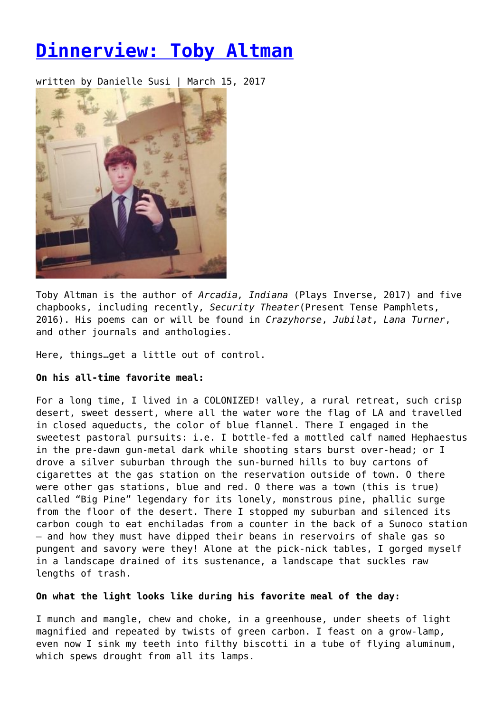# **[Dinnerview: Toby Altman](https://entropymag.org/dinnerview-toby-altman/)**

written by Danielle Susi | March 15, 2017



Toby Altman is the author of *Arcadia, Indiana* (Plays Inverse, 2017) and five chapbooks, including recently, *Security Theater*(Present Tense Pamphlets, 2016). His poems can or will be found in *Crazyhorse*, *Jubilat*, *Lana Turner*, and other journals and anthologies.

Here, things…get a little out of control.

# **On his all-time favorite meal:**

For a long time, I lived in a COLONIZED! valley, a rural retreat, such crisp desert, sweet dessert, where all the water wore the flag of LA and travelled in closed aqueducts, the color of blue flannel. There I engaged in the sweetest pastoral pursuits: i.e. I bottle-fed a mottled calf named Hephaestus in the pre-dawn gun-metal dark while shooting stars burst over-head; or I drove a silver suburban through the sun-burned hills to buy cartons of cigarettes at the gas station on the reservation outside of town. O there were other gas stations, blue and red. O there was a town (this is true) called "Big Pine" legendary for its lonely, monstrous pine, phallic surge from the floor of the desert. There I stopped my suburban and silenced its carbon cough to eat enchiladas from a counter in the back of a Sunoco station – and how they must have dipped their beans in reservoirs of shale gas so pungent and savory were they! Alone at the pick-nick tables, I gorged myself in a landscape drained of its sustenance, a landscape that suckles raw lengths of trash.

# **On what the light looks like during his favorite meal of the day:**

I munch and mangle, chew and choke, in a greenhouse, under sheets of light magnified and repeated by twists of green carbon. I feast on a grow-lamp, even now I sink my teeth into filthy biscotti in a tube of flying aluminum, which spews drought from all its lamps.